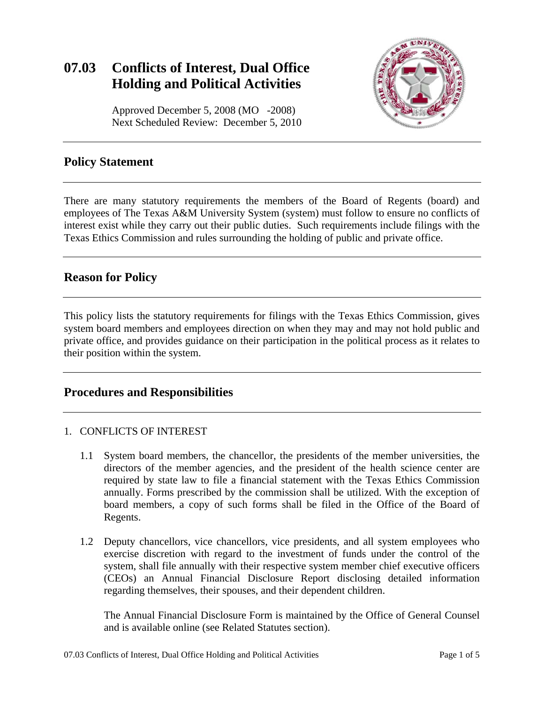# **07.03 Conflicts of Interest, Dual Office Holding and Political Activities**



Approved December 5, 2008 (MO -2008) Next Scheduled Review: December 5, 2010

### **Policy Statement**

There are many statutory requirements the members of the Board of Regents (board) and employees of The Texas A&M University System (system) must follow to ensure no conflicts of interest exist while they carry out their public duties. Such requirements include filings with the Texas Ethics Commission and rules surrounding the holding of public and private office.

# **Reason for Policy**

This policy lists the statutory requirements for filings with the Texas Ethics Commission, gives system board members and employees direction on when they may and may not hold public and private office, and provides guidance on their participation in the political process as it relates to their position within the system.

# **Procedures and Responsibilities**

#### 1. CONFLICTS OF INTEREST

- 1.1 System board members, the chancellor, the presidents of the member universities, the directors of the member agencies, and the president of the health science center are required by state law to file a financial statement with the Texas Ethics Commission annually. Forms prescribed by the commission shall be utilized. With the exception of board members, a copy of such forms shall be filed in the Office of the Board of Regents.
- 1.2 Deputy chancellors, vice chancellors, vice presidents, and all system employees who exercise discretion with regard to the investment of funds under the control of the system, shall file annually with their respective system member chief executive officers (CEOs) an Annual Financial Disclosure Report disclosing detailed information regarding themselves, their spouses, and their dependent children.

The Annual Financial Disclosure Form is maintained by the Office of General Counsel and is available online (see Related Statutes section).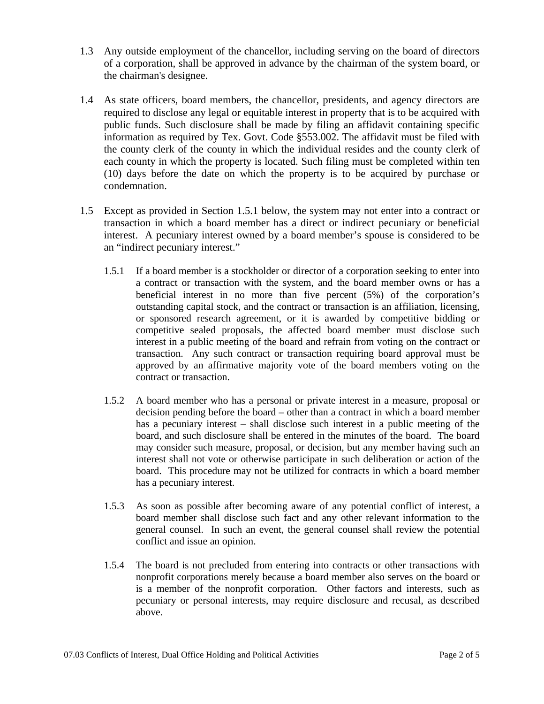- 1.3 Any outside employment of the chancellor, including serving on the board of directors of a corporation, shall be approved in advance by the chairman of the system board, or the chairman's designee.
- 1.4 As state officers, board members, the chancellor, presidents, and agency directors are required to disclose any legal or equitable interest in property that is to be acquired with public funds. Such disclosure shall be made by filing an affidavit containing specific information as required by Tex. Govt. Code §553.002. The affidavit must be filed with the county clerk of the county in which the individual resides and the county clerk of each county in which the property is located. Such filing must be completed within ten (10) days before the date on which the property is to be acquired by purchase or condemnation.
- 1.5 Except as provided in Section 1.5.1 below, the system may not enter into a contract or transaction in which a board member has a direct or indirect pecuniary or beneficial interest. A pecuniary interest owned by a board member's spouse is considered to be an "indirect pecuniary interest."
	- 1.5.1 If a board member is a stockholder or director of a corporation seeking to enter into a contract or transaction with the system, and the board member owns or has a beneficial interest in no more than five percent (5%) of the corporation's outstanding capital stock, and the contract or transaction is an affiliation, licensing, or sponsored research agreement, or it is awarded by competitive bidding or competitive sealed proposals, the affected board member must disclose such interest in a public meeting of the board and refrain from voting on the contract or transaction. Any such contract or transaction requiring board approval must be approved by an affirmative majority vote of the board members voting on the contract or transaction.
	- 1.5.2 A board member who has a personal or private interest in a measure, proposal or decision pending before the board – other than a contract in which a board member has a pecuniary interest – shall disclose such interest in a public meeting of the board, and such disclosure shall be entered in the minutes of the board. The board may consider such measure, proposal, or decision, but any member having such an interest shall not vote or otherwise participate in such deliberation or action of the board. This procedure may not be utilized for contracts in which a board member has a pecuniary interest.
	- conflict and issue an opinion. 1.5.3 As soon as possible after becoming aware of any potential conflict of interest, a board member shall disclose such fact and any other relevant information to the general counsel. In such an event, the general counsel shall review the potential
	- 1.5.4 The board is not precluded from entering into contracts or other transactions with nonprofit corporations merely because a board member also serves on the board or is a member of the nonprofit corporation. Other factors and interests, such as pecuniary or personal interests, may require disclosure and recusal, as described above.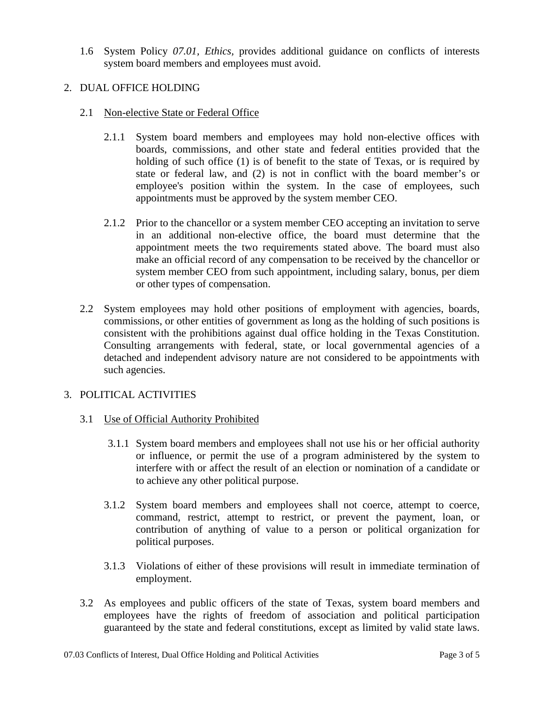1.6 System Policy *07.01, Ethics,* provides additional guidance on conflicts of interests system board members and employees must avoid.

#### 2. DUAL OFFICE HOLDING

- 2.1 Non-elective State or Federal Office
	- 2.1.1 System board members and employees may hold non-elective offices with boards, commissions, and other state and federal entities provided that the holding of such office (1) is of benefit to the state of Texas, or is required by state or federal law, and (2) is not in conflict with the board member's or employee's position within the system. In the case of employees, such appointments must be approved by the system member CEO.
	- 2.1.2 Prior to the chancellor or a system member CEO accepting an invitation to serve in an additional non-elective office, the board must determine that the appointment meets the two requirements stated above. The board must also make an official record of any compensation to be received by the chancellor or system member CEO from such appointment, including salary, bonus, per diem or other types of compensation.
- 2.2 System employees may hold other positions of employment with agencies, boards, commissions, or other entities of government as long as the holding of such positions is consistent with the prohibitions against dual office holding in the Texas Constitution. Consulting arrangements with federal, state, or local governmental agencies of a detached and independent advisory nature are not considered to be appointments with such agencies.

#### 3. POLITICAL ACTIVITIES

#### 3.1 Use of Official Authority Prohibited

- 3.1.1 System board members and employees shall not use his or her official authority or influence, or permit the use of a program administered by the system to interfere with or affect the result of an election or nomination of a candidate or to achieve any other political purpose.
- 3.1.2 System board members and employees shall not coerce, attempt to coerce, command, restrict, attempt to restrict, or prevent the payment, loan, or contribution of anything of value to a person or political organization for political purposes.
- 3.1.3 Violations of either of these provisions will result in immediate termination of employment.
- 3.2 As employees and public officers of the state of Texas, system board members and employees have the rights of freedom of association and political participation guaranteed by the state and federal constitutions, except as limited by valid state laws.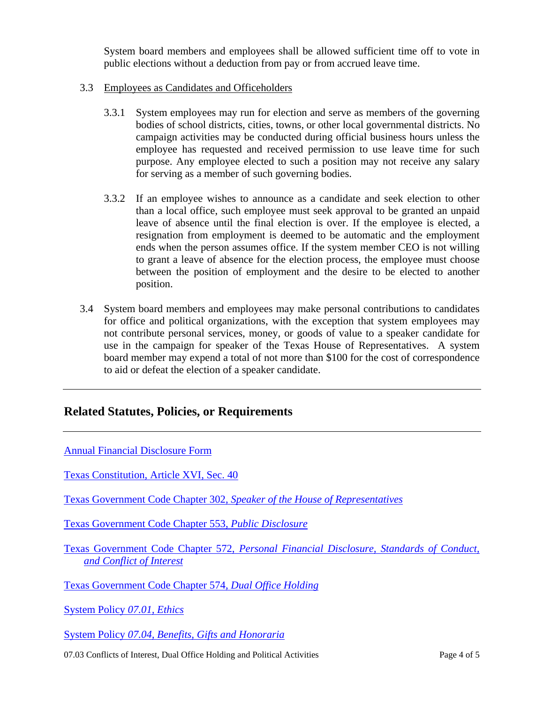System board members and employees shall be allowed sufficient time off to vote in public elections without a deduction from pay or from accrued leave time.

#### 3.3 Employees as Candidates and Officeholders

- 3.3.1 System employees may run for election and serve as members of the governing bodies of school districts, cities, towns, or other local governmental districts. No campaign activities may be conducted during official business hours unless the employee has requested and received permission to use leave time for such purpose. Any employee elected to such a position may not receive any salary for serving as a member of such governing bodies.
- 3.3.2 If an employee wishes to announce as a candidate and seek election to other than a local office, such employee must seek approval to be granted an unpaid leave of absence until the final election is over. If the employee is elected, a resignation from employment is deemed to be automatic and the employment ends when the person assumes office. If the system member CEO is not willing to grant a leave of absence for the election process, the employee must choose between the position of employment and the desire to be elected to another position.
- 3.4 System board members and employees may make personal contributions to candidates for office and political organizations, with the exception that system employees may not contribute personal services, money, or goods of value to a speaker candidate for use in the campaign for speaker of the Texas House of Representatives. A system board member may expend a total of not more than \$100 for the cost of correspondence to aid or defeat the election of a speaker candidate.

#### **Related Statutes, Policies, or Requirements**

| <b>Annual Financial Disclosure Form</b>                                                                             |
|---------------------------------------------------------------------------------------------------------------------|
| <b>Texas Constitution, Article XVI, Sec. 40</b>                                                                     |
| Texas Government Code Chapter 302, Speaker of the House of Representatives                                          |
| <b>Texas Government Code Chapter 553, Public Disclosure</b>                                                         |
| Texas Government Code Chapter 572, Personal Financial Disclosure, Standards of Conduct,<br>and Conflict of Interest |
| Texas Government Code Chapter 574, Dual Office Holding                                                              |
| System Policy 07.01, Ethics                                                                                         |
| System Policy 07.04, Benefits, Gifts and Honoraria                                                                  |
|                                                                                                                     |